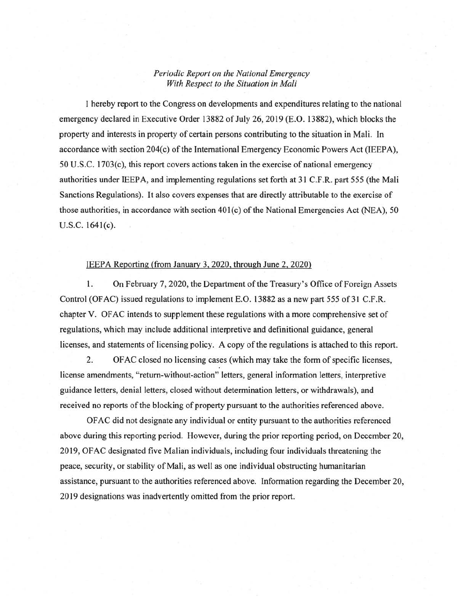## *Periodic Report on the National Emergency With Respect to the Situation in Mali*

I hereby report to the Congress on developments and expenditures relating to the national emergency declared in Executive Order 13882 of July 26, 2019 (E.O. 13882), which blocks the property and interests in property of certain persons contributing to the situation in Mali. In accordance with section 204(c) of the International Emergency Economic Powers Act (IEEPA),  $50 \text{ U.S.C. } 1703(c)$ , this report covers actions taken in the exercise of national emergency authorities under IEEPA, and implementing regulations set forth at 31 C.F.R. part 555 (the Mali Sanctions Regulations). It also covers expenses that are directly attributable to the exercise of those authorities, in accordance with section  $401(c)$  of the National Emergencies Act (NEA), 50 U.S.C. 1641(c).

## JEEP A Reporting (from January 3, 2020, through June 2, 2020)

1. On February 7, 2020, the Department of the Treasury's Office of Foreign Assets Control (OFAC) issued regulations to implement E.O. 13882 as a new part 555 of 31 C.F.R. chapter V. OFAC intends to supplement these regulations with a more comprehensive set of regulations, which may include additional interpretive and definitional guidance, general licenses, and statements of licensing policy. A copy of the regulations is attached to this report.

2. OF AC closed no licensing cases (which may take the form of specific licenses, license amendments, "return-without-action" letters, general information letters, interpretive guidance letters, denial letters, closed without determination letters, or withdrawals), and received no reports of the blocking of property pursuant to the authorities referenced above.

OF AC did not designate any individual or entity pursuant to the authorities referenced above during this reporting period. However, during the prior reporting period, on December 20, 2019, OFAC designated five Malian individuals, including four individuals threatening the peace, security, or stability of Mali, as well as one individual obstructing humanitarian assistance, pursuant to the authorities referenced above. Information regarding the December 20, 2019 designations was inadvertently omitted from the prior report.